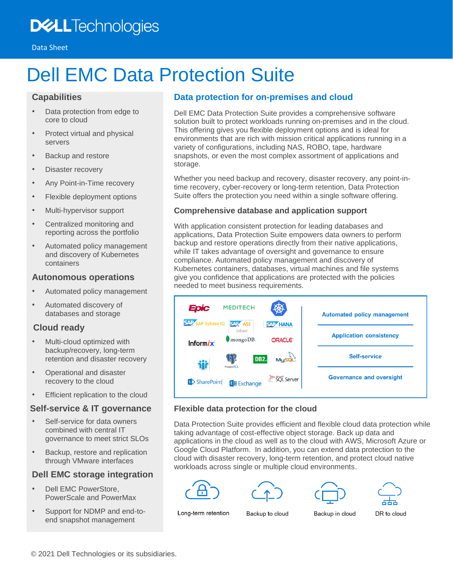## **DELL**Technologies

# Dell EMC Data Protection Suite

### **Capabilities**

- Data protection from edge to core to cloud
- Protect virtual and physical servers
- Backup and restore
- Disaster recovery
- Any Point-in-Time recovery
- Flexible deployment options
- Multi-hypervisor support
- Centralized monitoring and reporting across the portfolio
- Automated policy management and discovery of Kubernetes containers

#### **Autonomous operations**

- Automated policy management
- Automated discovery of databases and storage

## **Cloud ready**

- Multi-cloud optimized with backup/recovery, long-term retention and disaster recovery
- Operational and disaster recovery to the cloud
- Efficient replication to the cloud

## **Self-service & IT governance**

- Self-service for data owners combined with central IT governance to meet strict SLOs
- Backup, restore and replication through VMware interfaces

## **Dell EMC storage integration**

- Dell EMC PowerStore, PowerScale and PowerMax
- Support for NDMP and end-toend snapshot management

## **Data protection for on-premises and cloud**

Dell EMC Data Protection Suite provides a comprehensive software solution built to protect workloads running on-premises and in the cloud. This offering gives you flexible deployment options and is ideal for environments that are rich with mission critical applications running in a variety of configurations, including NAS, ROBO, tape, hardware snapshots, or even the most complex assortment of applications and storage.

Whether you need backup and recovery, disaster recovery, any point-intime recovery, cyber-recovery or long-term retention, Data Protection Suite offers the protection you need within a single software offering.

#### **Comprehensive database and application support**

With application consistent protection for leading databases and applications, Data Protection Suite empowers data owners to perform backup and restore operations directly from their native applications, while IT takes advantage of oversight and governance to ensure compliance. Automated policy management and discovery of Kubernetes containers, databases, virtual machines and file systems give you confidence that applications are protected with the policies needed to meet business requirements.



#### **Flexible data protection for the cloud**

Data Protection Suite provides efficient and flexible cloud data protection while taking advantage of cost-effective object storage. Back up data and applications in the cloud as well as to the cloud with AWS, Microsoft Azure or Google Cloud Platform. In addition, you can extend data protection to the cloud with disaster recovery, long-term retention, and protect cloud native workloads across single or multiple cloud environments.









Long-term retention

Backup to cloud

Backup in cloud

DR to cloud